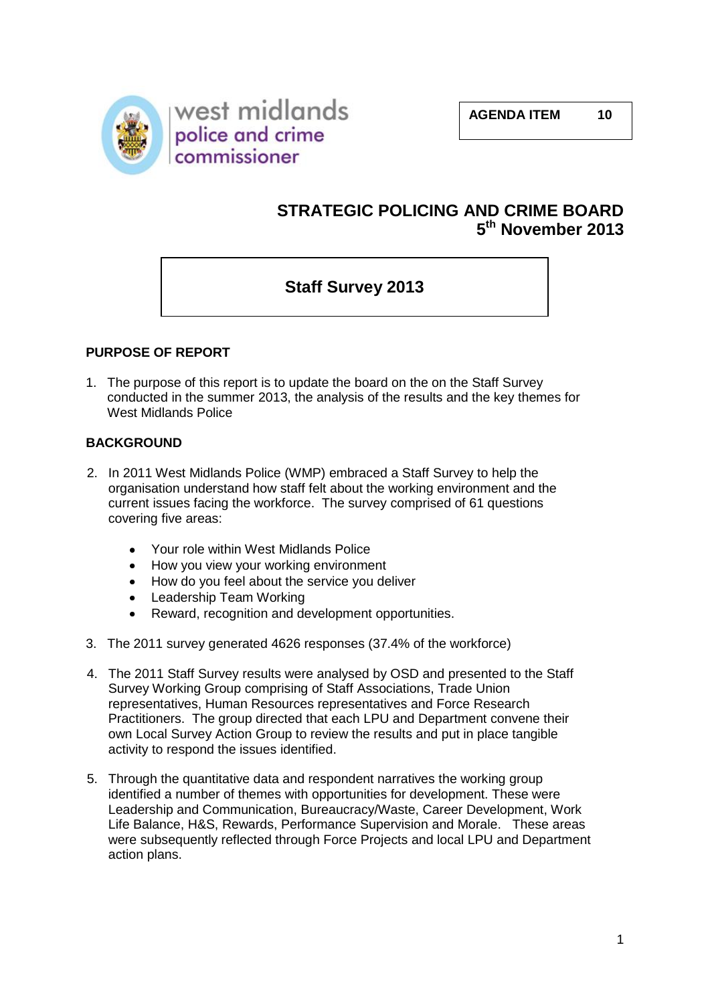

## **STRATEGIC POLICING AND CRIME BOARD 5 th November 2013**

# **Staff Survey 2013**

## **PURPOSE OF REPORT**

1. The purpose of this report is to update the board on the on the Staff Survey conducted in the summer 2013, the analysis of the results and the key themes for West Midlands Police

#### **BACKGROUND**

- 2. In 2011 West Midlands Police (WMP) embraced a Staff Survey to help the organisation understand how staff felt about the working environment and the current issues facing the workforce. The survey comprised of 61 questions covering five areas:
	- Your role within West Midlands Police
	- How you view your working environment
	- How do you feel about the service you deliver
	- Leadership Team Working
	- Reward, recognition and development opportunities.
- 3. The 2011 survey generated 4626 responses (37.4% of the workforce)
- 4. The 2011 Staff Survey results were analysed by OSD and presented to the Staff Survey Working Group comprising of Staff Associations, Trade Union representatives, Human Resources representatives and Force Research Practitioners. The group directed that each LPU and Department convene their own Local Survey Action Group to review the results and put in place tangible activity to respond the issues identified.
- 5. Through the quantitative data and respondent narratives the working group identified a number of themes with opportunities for development. These were Leadership and Communication, Bureaucracy/Waste, Career Development, Work Life Balance, H&S, Rewards, Performance Supervision and Morale. These areas were subsequently reflected through Force Projects and local LPU and Department action plans.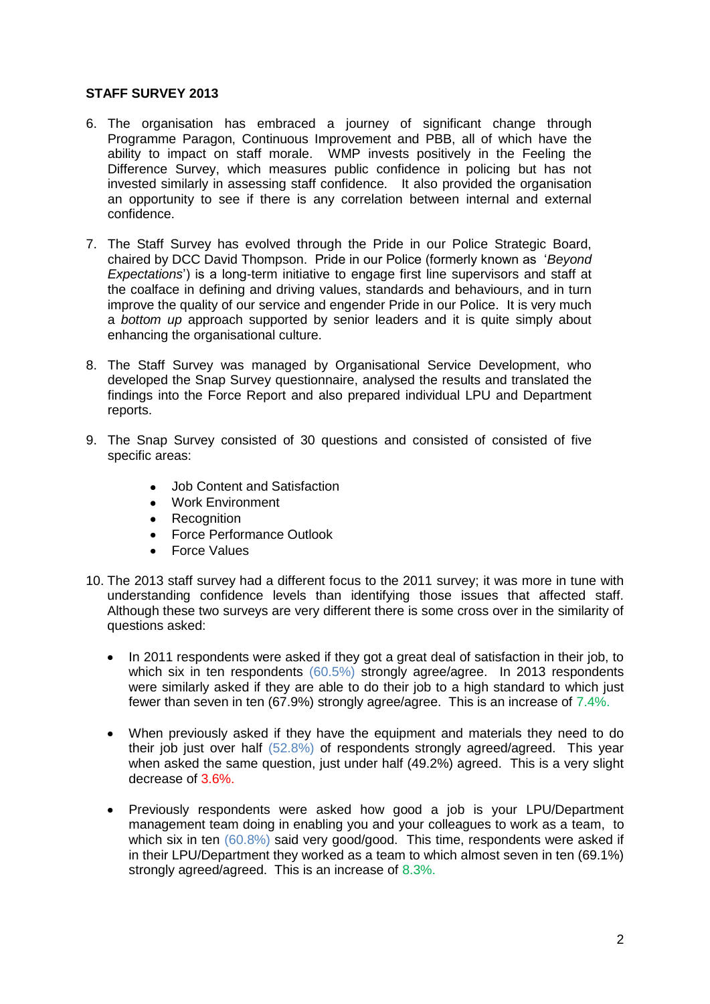#### **STAFF SURVEY 2013**

- 6. The organisation has embraced a journey of significant change through Programme Paragon, Continuous Improvement and PBB, all of which have the ability to impact on staff morale. WMP invests positively in the Feeling the Difference Survey, which measures public confidence in policing but has not invested similarly in assessing staff confidence. It also provided the organisation an opportunity to see if there is any correlation between internal and external confidence.
- 7. The Staff Survey has evolved through the Pride in our Police Strategic Board, chaired by DCC David Thompson. Pride in our Police (formerly known as '*Beyond Expectations*') is a long-term initiative to engage first line supervisors and staff at the coalface in defining and driving values, standards and behaviours, and in turn improve the quality of our service and engender Pride in our Police. It is very much a *bottom up* approach supported by senior leaders and it is quite simply about enhancing the organisational culture.
- 8. The Staff Survey was managed by Organisational Service Development, who developed the Snap Survey questionnaire, analysed the results and translated the findings into the Force Report and also prepared individual LPU and Department reports.
- 9. The Snap Survey consisted of 30 questions and consisted of consisted of five specific areas:
	- Job Content and Satisfaction
	- Work Environment
	- Recognition
	- Force Performance Outlook
	- Force Values
- 10. The 2013 staff survey had a different focus to the 2011 survey; it was more in tune with understanding confidence levels than identifying those issues that affected staff. Although these two surveys are very different there is some cross over in the similarity of questions asked:
	- In 2011 respondents were asked if they got a great deal of satisfaction in their job, to  $\bullet$ which six in ten respondents (60.5%) strongly agree/agree. In 2013 respondents were similarly asked if they are able to do their job to a high standard to which just fewer than seven in ten (67.9%) strongly agree/agree. This is an increase of 7.4%.
	- $\bullet$ When previously asked if they have the equipment and materials they need to do their job just over half (52.8%) of respondents strongly agreed/agreed. This year when asked the same question, just under half (49.2%) agreed. This is a very slight decrease of 3.6%.
	- $\bullet$ Previously respondents were asked how good a job is your LPU/Department management team doing in enabling you and your colleagues to work as a team, to which six in ten (60.8%) said very good/good. This time, respondents were asked if in their LPU/Department they worked as a team to which almost seven in ten (69.1%) strongly agreed/agreed. This is an increase of 8.3%.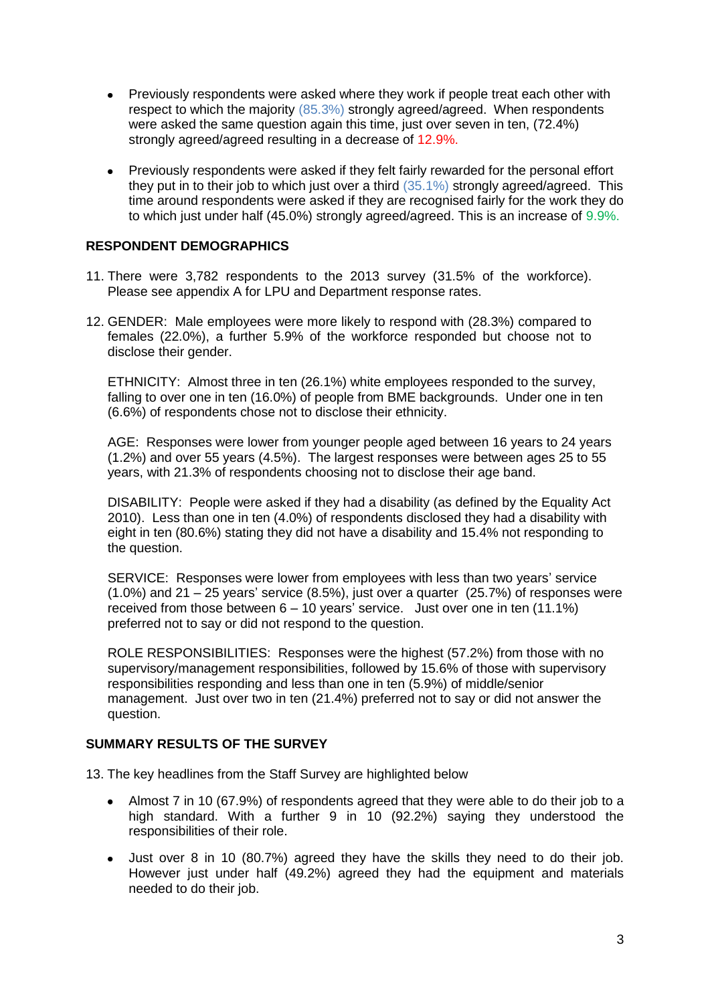- $\bullet$ Previously respondents were asked where they work if people treat each other with respect to which the majority (85.3%) strongly agreed/agreed. When respondents were asked the same question again this time, just over seven in ten, (72.4%) strongly agreed/agreed resulting in a decrease of 12.9%.
- Previously respondents were asked if they felt fairly rewarded for the personal effort  $\bullet$ they put in to their job to which just over a third (35.1%) strongly agreed/agreed. This time around respondents were asked if they are recognised fairly for the work they do to which just under half (45.0%) strongly agreed/agreed. This is an increase of 9.9%.

#### **RESPONDENT DEMOGRAPHICS**

- 11. There were 3,782 respondents to the 2013 survey (31.5% of the workforce). Please see appendix A for LPU and Department response rates.
- 12. GENDER: Male employees were more likely to respond with (28.3%) compared to females (22.0%), a further 5.9% of the workforce responded but choose not to disclose their gender.

ETHNICITY: Almost three in ten (26.1%) white employees responded to the survey, falling to over one in ten (16.0%) of people from BME backgrounds. Under one in ten (6.6%) of respondents chose not to disclose their ethnicity.

AGE: Responses were lower from younger people aged between 16 years to 24 years (1.2%) and over 55 years (4.5%). The largest responses were between ages 25 to 55 years, with 21.3% of respondents choosing not to disclose their age band.

DISABILITY: People were asked if they had a disability (as defined by the Equality Act 2010). Less than one in ten (4.0%) of respondents disclosed they had a disability with eight in ten (80.6%) stating they did not have a disability and 15.4% not responding to the question.

SERVICE: Responses were lower from employees with less than two years' service  $(1.0\%)$  and 21 – 25 years' service  $(8.5\%)$ , just over a quarter  $(25.7\%)$  of responses were received from those between 6 – 10 years' service. Just over one in ten (11.1%) preferred not to say or did not respond to the question.

ROLE RESPONSIBILITIES: Responses were the highest (57.2%) from those with no supervisory/management responsibilities, followed by 15.6% of those with supervisory responsibilities responding and less than one in ten (5.9%) of middle/senior management. Just over two in ten (21.4%) preferred not to say or did not answer the question.

#### **SUMMARY RESULTS OF THE SURVEY**

13. The key headlines from the Staff Survey are highlighted below

- Almost 7 in 10 (67.9%) of respondents agreed that they were able to do their job to a  $\bullet$ high standard. With a further 9 in 10 (92.2%) saying they understood the responsibilities of their role.
- Just over 8 in 10 (80.7%) agreed they have the skills they need to do their job.  $\bullet$ However just under half (49.2%) agreed they had the equipment and materials needed to do their job.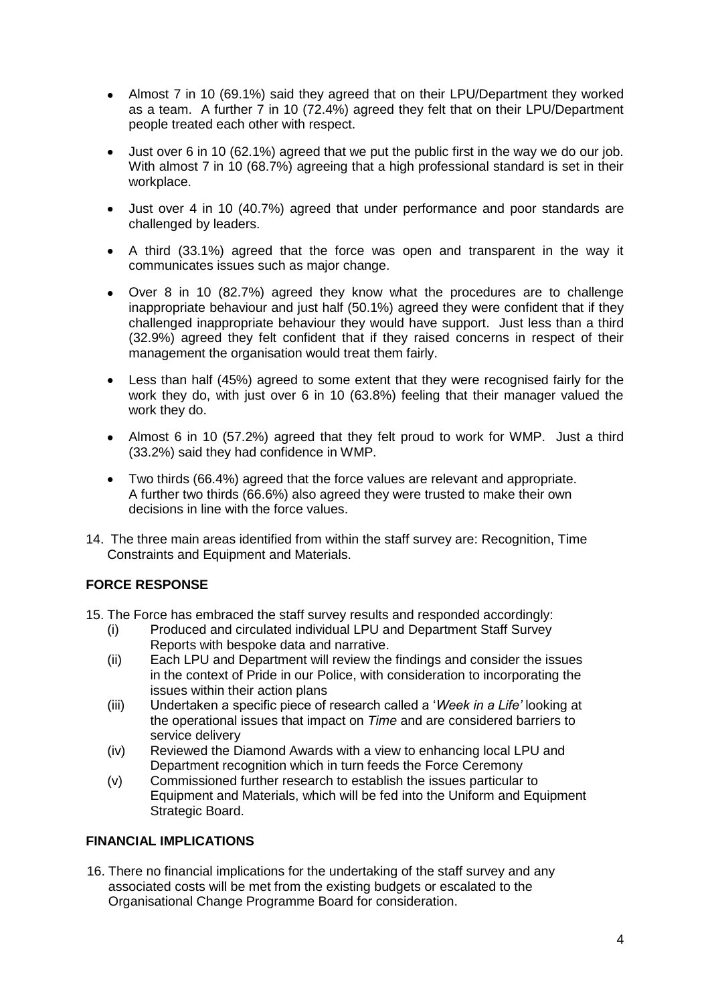- Almost 7 in 10 (69.1%) said they agreed that on their LPU/Department they worked as a team. A further 7 in 10 (72.4%) agreed they felt that on their LPU/Department people treated each other with respect.
- Just over 6 in 10 (62.1%) agreed that we put the public first in the way we do our job. With almost 7 in 10 (68.7%) agreeing that a high professional standard is set in their workplace.
- Just over 4 in 10 (40.7%) agreed that under performance and poor standards are challenged by leaders.
- A third (33.1%) agreed that the force was open and transparent in the way it  $\bullet$ communicates issues such as major change.
- Over 8 in 10 (82.7%) agreed they know what the procedures are to challenge inappropriate behaviour and just half (50.1%) agreed they were confident that if they challenged inappropriate behaviour they would have support. Just less than a third (32.9%) agreed they felt confident that if they raised concerns in respect of their management the organisation would treat them fairly.
- Less than half (45%) agreed to some extent that they were recognised fairly for the  $\bullet$ work they do, with just over 6 in 10 (63.8%) feeling that their manager valued the work they do.
- Almost 6 in 10 (57.2%) agreed that they felt proud to work for WMP. Just a third  $\bullet$ (33.2%) said they had confidence in WMP.
- $\bullet$ Two thirds (66.4%) agreed that the force values are relevant and appropriate. A further two thirds (66.6%) also agreed they were trusted to make their own decisions in line with the force values.
- 14. The three main areas identified from within the staff survey are: Recognition, Time Constraints and Equipment and Materials.

## **FORCE RESPONSE**

- 15. The Force has embraced the staff survey results and responded accordingly:
	- (i) Produced and circulated individual LPU and Department Staff Survey Reports with bespoke data and narrative.
	- (ii) Each LPU and Department will review the findings and consider the issues in the context of Pride in our Police, with consideration to incorporating the issues within their action plans
	- (iii) Undertaken a specific piece of research called a '*Week in a Life'* looking at the operational issues that impact on *Time* and are considered barriers to service delivery
	- (iv) Reviewed the Diamond Awards with a view to enhancing local LPU and Department recognition which in turn feeds the Force Ceremony
	- (v) Commissioned further research to establish the issues particular to Equipment and Materials, which will be fed into the Uniform and Equipment Strategic Board.

## **FINANCIAL IMPLICATIONS**

16. There no financial implications for the undertaking of the staff survey and any associated costs will be met from the existing budgets or escalated to the Organisational Change Programme Board for consideration.